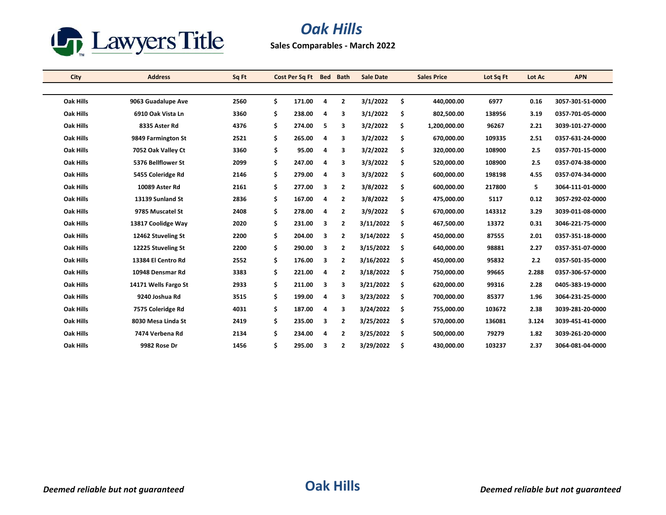

## *Oak Hills*

**Sales Comparables - March 2022**

| City             | <b>Address</b>       | Sq Ft | Cost Per Sq Ft Bed |   | <b>Bath</b>    | <b>Sale Date</b> |     | <b>Sales Price</b> | Lot Sq Ft | Lot Ac | <b>APN</b>       |
|------------------|----------------------|-------|--------------------|---|----------------|------------------|-----|--------------------|-----------|--------|------------------|
|                  |                      |       |                    |   |                |                  |     |                    |           |        |                  |
| <b>Oak Hills</b> | 9063 Guadalupe Ave   | 2560  | \$<br>171.00       | 4 | $\mathbf{2}$   | 3/1/2022         | \$  | 440,000.00         | 6977      | 0.16   | 3057-301-51-0000 |
| <b>Oak Hills</b> | 6910 Oak Vista Ln    | 3360  | \$<br>238.00       | 4 | 3              | 3/1/2022         | \$  | 802,500.00         | 138956    | 3.19   | 0357-701-05-0000 |
| <b>Oak Hills</b> | 8335 Aster Rd        | 4376  | \$<br>274.00       | 5 | 3              | 3/2/2022         | \$  | 1,200,000.00       | 96267     | 2.21   | 3039-101-27-0000 |
| <b>Oak Hills</b> | 9849 Farmington St   | 2521  | \$<br>265.00       | 4 | 3              | 3/2/2022         | \$  | 670,000.00         | 109335    | 2.51   | 0357-631-24-0000 |
| <b>Oak Hills</b> | 7052 Oak Valley Ct   | 3360  | \$<br>95.00        | 4 | 3              | 3/2/2022         | \$  | 320,000.00         | 108900    | 2.5    | 0357-701-15-0000 |
| <b>Oak Hills</b> | 5376 Bellflower St   | 2099  | \$<br>247.00       | 4 | 3              | 3/3/2022         | \$  | 520,000.00         | 108900    | 2.5    | 0357-074-38-0000 |
| <b>Oak Hills</b> | 5455 Coleridge Rd    | 2146  | \$<br>279.00       | 4 | 3              | 3/3/2022         | \$  | 600,000.00         | 198198    | 4.55   | 0357-074-34-0000 |
| <b>Oak Hills</b> | 10089 Aster Rd       | 2161  | \$<br>277.00       | 3 | $\overline{2}$ | 3/8/2022         | \$  | 600,000.00         | 217800    | 5      | 3064-111-01-0000 |
| <b>Oak Hills</b> | 13139 Sunland St     | 2836  | \$<br>167.00       | 4 | $\mathbf{2}$   | 3/8/2022         | \$  | 475,000.00         | 5117      | 0.12   | 3057-292-02-0000 |
| <b>Oak Hills</b> | 9785 Muscatel St     | 2408  | \$<br>278.00       | 4 | $\overline{2}$ | 3/9/2022         | \$  | 670,000.00         | 143312    | 3.29   | 3039-011-08-0000 |
| <b>Oak Hills</b> | 13817 Coolidge Way   | 2020  | \$<br>231.00       | 3 | $\overline{2}$ | 3/11/2022        | \$  | 467,500.00         | 13372     | 0.31   | 3046-221-75-0000 |
| <b>Oak Hills</b> | 12462 Stuveling St   | 2200  | \$<br>204.00       | 3 | 2              | 3/14/2022        | \$  | 450,000.00         | 87555     | 2.01   | 0357-351-18-0000 |
| <b>Oak Hills</b> | 12225 Stuveling St   | 2200  | \$<br>290.00       | 3 | $\mathbf{2}$   | 3/15/2022        | \$  | 640,000.00         | 98881     | 2.27   | 0357-351-07-0000 |
| <b>Oak Hills</b> | 13384 El Centro Rd   | 2552  | \$<br>176.00       | 3 | $\overline{2}$ | 3/16/2022        | \$. | 450,000.00         | 95832     | 2.2    | 0357-501-35-0000 |
| <b>Oak Hills</b> | 10948 Densmar Rd     | 3383  | \$<br>221.00       | 4 | $\overline{2}$ | 3/18/2022        | \$  | 750,000.00         | 99665     | 2.288  | 0357-306-57-0000 |
| <b>Oak Hills</b> | 14171 Wells Fargo St | 2933  | \$<br>211.00       | 3 | 3              | 3/21/2022        | \$  | 620,000.00         | 99316     | 2.28   | 0405-383-19-0000 |
| <b>Oak Hills</b> | 9240 Joshua Rd       | 3515  | \$<br>199.00       | 4 | 3              | 3/23/2022        | \$  | 700,000.00         | 85377     | 1.96   | 3064-231-25-0000 |
| <b>Oak Hills</b> | 7575 Coleridge Rd    | 4031  | \$<br>187.00       | 4 | 3              | 3/24/2022        | \$  | 755,000.00         | 103672    | 2.38   | 3039-281-20-0000 |
| <b>Oak Hills</b> | 8030 Mesa Linda St   | 2419  | \$<br>235.00       | 3 | $\overline{2}$ | 3/25/2022        | \$  | 570,000.00         | 136081    | 3.124  | 3039-451-41-0000 |
| Oak Hills        | 7474 Verbena Rd      | 2134  | \$<br>234.00       | 4 | $\overline{2}$ | 3/25/2022        | \$  | 500,000.00         | 79279     | 1.82   | 3039-261-20-0000 |
| Oak Hills        | 9982 Rose Dr         | 1456  | \$<br>295.00       | 3 | 2              | 3/29/2022        | \$  | 430,000.00         | 103237    | 2.37   | 3064-081-04-0000 |